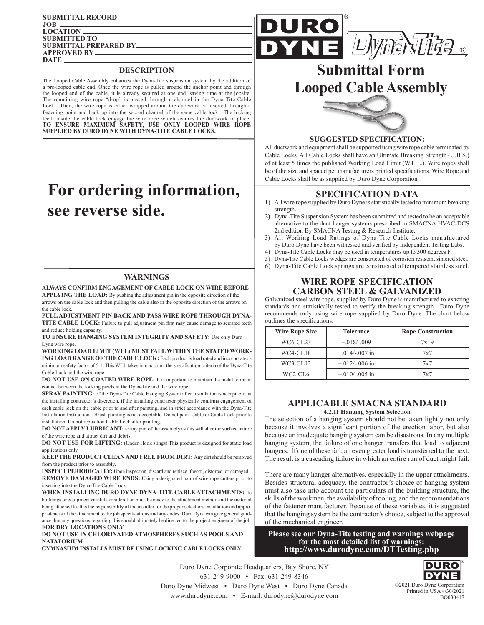| <b>SUBMITTAL RECORD</b>      |
|------------------------------|
|                              |
| LOGATION                     |
| SUBMITTED TO                 |
| <b>SUBMITTAL PREPARED BY</b> |
| <b>APPROVED BY</b>           |
| <b>DATE</b>                  |
|                              |

#### **DESCRIPTION**

The Looped Cable Assembly enhances the Dyna-Tite suspension system by the addition of a pre-looped cable end. Once the wire rope is pulled around the anchor point and through the looped end of the cable, it is already secured at one end, saving time at the jobsite. The remaining wire rope "drop" is passed through a channel in the Dyna-Tite Cable Lock. Then, the wire rope is either wrapped around the ductwork or inserted through a fastening point and back up into the second channel of the same cable lock. The locking teeth inside the cable lock engage the wire rope which secures the ductwork in place. **TO ENSURE MAXIMUM SAFETY, USE ONLY LOOPED WIRE ROPE SUPPLIED BY DURO DYNE WITH DYNA-TITE CABLE LOCKS.**

# **For ordering information, see reverse side.**

### **WARNINGS**

**ALWAYS CONFIRM ENGAGEMENT OF CABLE LOCK ON WIRE BEFORE** 

**APPLYING THE LOAD:** By pushing the adjustment pin in the opposite direction of the arrows on the cable lock and then pulling the cable also in the opposite direction of the arrows on the cable lock.

**PULL ADJUSTMENT PIN BACK AND PASS WIRE ROPE THROUGH DYNA-TITE CABLE LOCK:** Failure to pull adjustment pin first may cause damage to serrated teeth and reduce holding capacity.

**TO ENSURE HANGING SYSTEM INTEGRITY AND SAFETY:** Use only Duro Dyne wire rope.

**WORKING LOAD LIMIT (WLL) MUST FALL WITHIN THE STATED WORK-ING LOAD RANGE OF THE CABLE LOCK:** Each product is load rated and incorporates a minimum safety factor of 5:1. This WLL takes into account the specification criteria of the Dyna-Tite Cable Lock and the wire rope.

**DO NOT USE ON COATED WIRE ROPE:** It is important to maintain the metal to metal contact between the locking pawls in the Dyna-Tite and the wire rope.

**SPRAY PAINTING:** of the Dyna-Tite Cable Hanging System after installation is acceptable, at the installing contractor's discretion, if the installing contractor physically confirms engagement of each cable lock on the cable prior to and after painting, and in strict accordance with the Dyna-Tite Installation Instructions. Brush painting is not acceptable. Do not paint Cable or Cable Lock prior to installation. Do not reposition Cable Lock after painting.

**DO NOT APPLY LUBRICANT:** to any part of the assembly as this will alter the surface nature of the wire rope and attract dirt and debris.

**DO NOT USE FOR LIFTING:** (Under Hook slings) This product is designed for static load applications only.

**KEEP THE PRODUCT CLEAN AND FREE FROM DIRT:** Any dirt should be removed from the product prior to assembly.

**INSPECT PERIODICALLY:** Upon inspection, discard and replace if worn, distorted, or damaged. **REMOVE DAMAGED WIRE ENDS:** Using a designated pair of wire rope cutters prior to inserting into the Dyna-Tite Cable Lock.

**WHEN INSTALLING DURO DYNE DYNA-TITE CABLE ATTACHMENTS:** to buildings or equipment careful consideration must be made to the attachment method and the material being attached to. It is the responsibility of the installer for the proper selection, installation and appropriateness of the attachment to the job specifications and any codes. Duro Dyne can give general guidance, but any questions regarding this should ultimately be directed to the project engineer of the job. **FOR DRY LOCATIONS ONLY**

**DO NOT USE IN CHLORINATED ATMOSPHERES SUCH AS POOLS AND NATATORIUM GYMNASIUM INSTALLS MUST BE USING LOCKING CABLE LOCKS ONLY**



# **Submittal Form Looped Cable Assembly**

®



**SUGGESTED SPECIFICATION:**

All ductwork and equipment shall be supported using wire rope cable terminated by Cable Locks. All Cable Locks shall have an Ultimate Breaking Strength (U.B.S.) of at least 5 times the published Working Load Limit (W.L.L.). Wire ropes shall be of the size and spaced per manufacturers printed specifications. Wire Rope and Cable Locks shall be as supplied by Duro Dyne Corporation.

### **SPECIFICATION DATA**

- 1) All wire rope supplied by Duro Dyne is statistically tested to minimum breaking strength.
- **2)** Dyna-Tite Suspension System has been submitted and tested to be an acceptable alternative to the duct hanger systems prescribed in SMACNA HVAC-DCS 2nd edition By SMACNA Testing & Research Institute.
- All Working Load Ratings of Dyna-Tite Cable Locks manufactured by Duro Dyne have been witnessed and verified by Independent Testing Labs.
- 4) Dyna-Tite Cable Locks may be used in temperatures up to 300 degrees F.
- 5) Dyna-Tite Cable Locks wedges are constructed of corrosion resistant sintered steel.
- 6) Dyna-Tite Cable Lock springs are constructed of tempered stainless steel.

## **WIRE ROPE SPECIFICATION CARBON STEEL & GALVANIZED**

Galvanized steel wire rope, supplied by Duro Dyne is manufactured to exacting standards and statistically tested to verify the breaking strength. Duro Dyne recommends only using wire rope supplied by Duro Dyne. The chart below outlines the specifications.

| <b>Wire Rope Size</b> | <b>Tolerance</b>   | <b>Rope Construction</b> |  |
|-----------------------|--------------------|--------------------------|--|
| WC6-CL23              | $+.018-.009$       | 7x19                     |  |
| WC4-CL18              | $+0.014/-0.007$ in | 7x7                      |  |
| WC3-CL12              | $+0.012/-0.006$ in | 7x7                      |  |
| $WC2-CL6$             | $+0.010/-0.005$ in | 7x7                      |  |

#### **APPLICABLE SMACNA STANDARD 4.2.11 Hanging System Selection**

The selection of a hanging system should not be taken lightly not only because it involves a significant portion of the erection labor, but also because an inadequate hanging system can be disastrous. In any multiple hanging system, the failure of one hanger transfers that load to adjacent hangers. If one of these fail, an even greater load is transferred to the next. The result is a cascading failure in which an entire run of duct might fail.

There are many hanger alternatives, especially in the upper attachments. Besides structural adequacy, the contractor's choice of hanging system must also take into account the particulars of the building structure, the skills of the workmen, the availability of tooling, and the recommendations of the fastener manufacturer. Because of these variables, it is suggested that the hanging system be the contractor's choice, subject to the approval of the mechanical engineer.

**Please see our Dyna-Tite testing and warnings webpage for the most detailed list of warnings: http://www.durodyne.com/DTTesting.php**

Duro Dyne Corporate Headquarters, Bay Shore, NY 631-249-9000 • Fax: 631-249-8346 Duro Dyne Midwest • Duro Dyne West • Duro Dyne Canada www.durodyne.com • E-mail: durodyne@durodyne.com